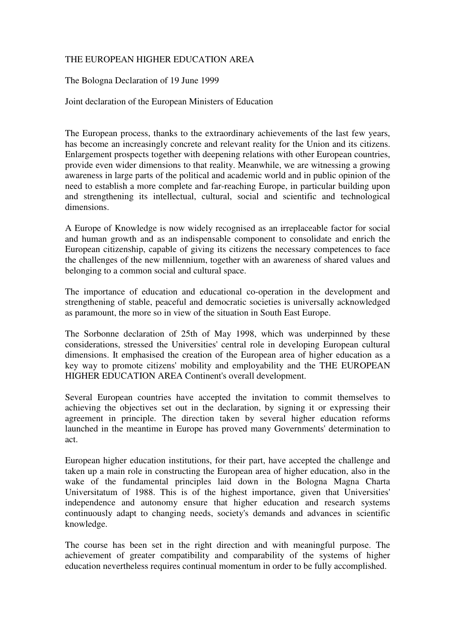## THE EUROPEAN HIGHER EDUCATION AREA

The Bologna Declaration of 19 June 1999

Joint declaration of the European Ministers of Education

The European process, thanks to the extraordinary achievements of the last few years, has become an increasingly concrete and relevant reality for the Union and its citizens. Enlargement prospects together with deepening relations with other European countries, provide even wider dimensions to that reality. Meanwhile, we are witnessing a growing awareness in large parts of the political and academic world and in public opinion of the need to establish a more complete and far-reaching Europe, in particular building upon and strengthening its intellectual, cultural, social and scientific and technological dimensions.

A Europe of Knowledge is now widely recognised as an irreplaceable factor for social and human growth and as an indispensable component to consolidate and enrich the European citizenship, capable of giving its citizens the necessary competences to face the challenges of the new millennium, together with an awareness of shared values and belonging to a common social and cultural space.

The importance of education and educational co-operation in the development and strengthening of stable, peaceful and democratic societies is universally acknowledged as paramount, the more so in view of the situation in South East Europe.

The Sorbonne declaration of 25th of May 1998, which was underpinned by these considerations, stressed the Universities' central role in developing European cultural dimensions. It emphasised the creation of the European area of higher education as a key way to promote citizens' mobility and employability and the THE EUROPEAN HIGHER EDUCATION AREA Continent's overall development.

Several European countries have accepted the invitation to commit themselves to achieving the objectives set out in the declaration, by signing it or expressing their agreement in principle. The direction taken by several higher education reforms launched in the meantime in Europe has proved many Governments' determination to act.

European higher education institutions, for their part, have accepted the challenge and taken up a main role in constructing the European area of higher education, also in the wake of the fundamental principles laid down in the Bologna Magna Charta Universitatum of 1988. This is of the highest importance, given that Universities' independence and autonomy ensure that higher education and research systems continuously adapt to changing needs, society's demands and advances in scientific knowledge.

The course has been set in the right direction and with meaningful purpose. The achievement of greater compatibility and comparability of the systems of higher education nevertheless requires continual momentum in order to be fully accomplished.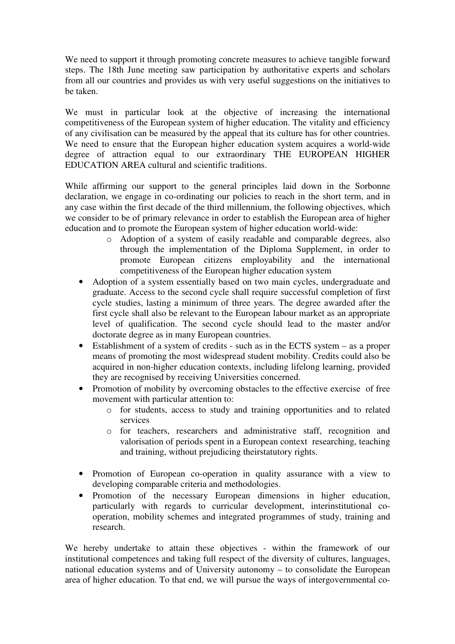We need to support it through promoting concrete measures to achieve tangible forward steps. The 18th June meeting saw participation by authoritative experts and scholars from all our countries and provides us with very useful suggestions on the initiatives to be taken.

We must in particular look at the objective of increasing the international competitiveness of the European system of higher education. The vitality and efficiency of any civilisation can be measured by the appeal that its culture has for other countries. We need to ensure that the European higher education system acquires a world-wide degree of attraction equal to our extraordinary THE EUROPEAN HIGHER EDUCATION AREA cultural and scientific traditions.

While affirming our support to the general principles laid down in the Sorbonne declaration, we engage in co-ordinating our policies to reach in the short term, and in any case within the first decade of the third millennium, the following objectives, which we consider to be of primary relevance in order to establish the European area of higher education and to promote the European system of higher education world-wide:

- o Adoption of a system of easily readable and comparable degrees, also through the implementation of the Diploma Supplement, in order to promote European citizens employability and the international competitiveness of the European higher education system
- Adoption of a system essentially based on two main cycles, undergraduate and graduate. Access to the second cycle shall require successful completion of first cycle studies, lasting a minimum of three years. The degree awarded after the first cycle shall also be relevant to the European labour market as an appropriate level of qualification. The second cycle should lead to the master and/or doctorate degree as in many European countries.
- Establishment of a system of credits such as in the ECTS system as a proper means of promoting the most widespread student mobility. Credits could also be acquired in non-higher education contexts, including lifelong learning, provided they are recognised by receiving Universities concerned.
- Promotion of mobility by overcoming obstacles to the effective exercise of free movement with particular attention to:
	- o for students, access to study and training opportunities and to related services
	- o for teachers, researchers and administrative staff, recognition and valorisation of periods spent in a European context researching, teaching and training, without prejudicing theirstatutory rights.
- Promotion of European co-operation in quality assurance with a view to developing comparable criteria and methodologies.
- Promotion of the necessary European dimensions in higher education, particularly with regards to curricular development, interinstitutional cooperation, mobility schemes and integrated programmes of study, training and research.

We hereby undertake to attain these objectives - within the framework of our institutional competences and taking full respect of the diversity of cultures, languages, national education systems and of University autonomy – to consolidate the European area of higher education. To that end, we will pursue the ways of intergovernmental co-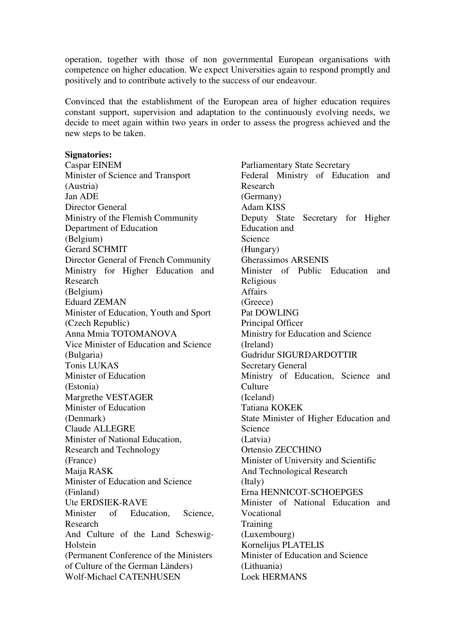operation, together with those of non governmental European organisations with competence on higher education. We expect Universities again to respond promptly and positively and to contribute actively to the success of our endeavour.

Convinced that the establishment of the European area of higher education requires constant support, supervision and adaptation to the continuously evolving needs, we decide to meet again within two years in order to assess the progress achieved and the new steps to be taken.

## **Signatories:**

Caspar EINEM Minister of Science and Transport (Austria) Jan ADE Director General Ministry of the Flemish Community Department of Education (Belgium) Gerard SCHMIT Director General of French Community Ministry for Higher Education and Research (Belgium) Eduard ZEMAN Minister of Education, Youth and Sport (Czech Republic) Anna Mmia TOTOMANOVA Vice Minister of Education and Science (Bulgaria) Tonis LUKAS Minister of Education (Estonia) Margrethe VESTAGER Minister of Education (Denmark) Claude ALLEGRE Minister of National Education, Research and Technology (France) Maija RASK Minister of Education and Science (Finland) Ute ERDSIEK-RAVE Minister of Education, Science, Research And Culture of the Land Scheswig-Holstein (Permanent Conference of the Ministers of Culture of the German Länders) Wolf-Michael CATENHUSEN

Parliamentary State Secretary Federal Ministry of Education and Research (Germany) Adam KISS Deputy State Secretary for Higher Education and Science (Hungary) Gherassimos ARSENIS Minister of Public Education and Religious Affairs (Greece) Pat DOWLING Principal Officer Ministry for Education and Science (Ireland) Gudridur SIGURDARDOTTIR Secretary General Ministry of Education, Science and Culture (Iceland) Tatiana KOKEK State Minister of Higher Education and Science (Latvia) Ortensio ZECCHINO Minister of University and Scientific And Technological Research (Italy) Erna HENNICOT-SCHOEPGES Minister of National Education and Vocational Training (Luxembourg) Kornelijus PLATELIS Minister of Education and Science (Lithuania) Loek HERMANS